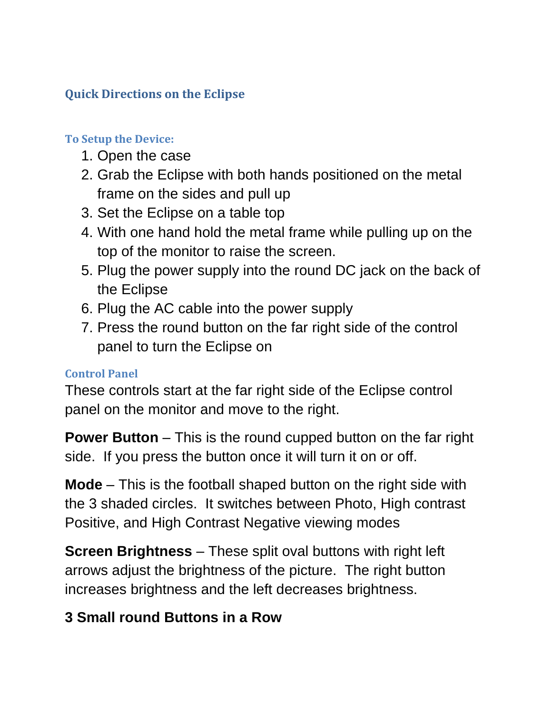## **Quick Directions on the Eclipse**

## **To Setup the Device:**

- 1. Open the case
- 2. Grab the Eclipse with both hands positioned on the metal frame on the sides and pull up
- 3. Set the Eclipse on a table top
- 4. With one hand hold the metal frame while pulling up on the top of the monitor to raise the screen.
- 5. Plug the power supply into the round DC jack on the back of the Eclipse
- 6. Plug the AC cable into the power supply
- 7. Press the round button on the far right side of the control panel to turn the Eclipse on

## **Control Panel**

These controls start at the far right side of the Eclipse control panel on the monitor and move to the right.

**Power Button** – This is the round cupped button on the far right side. If you press the button once it will turn it on or off.

**Mode** – This is the football shaped button on the right side with the 3 shaded circles. It switches between Photo, High contrast Positive, and High Contrast Negative viewing modes

**Screen Brightness** – These split oval buttons with right left arrows adjust the brightness of the picture. The right button increases brightness and the left decreases brightness.

## **3 Small round Buttons in a Row**